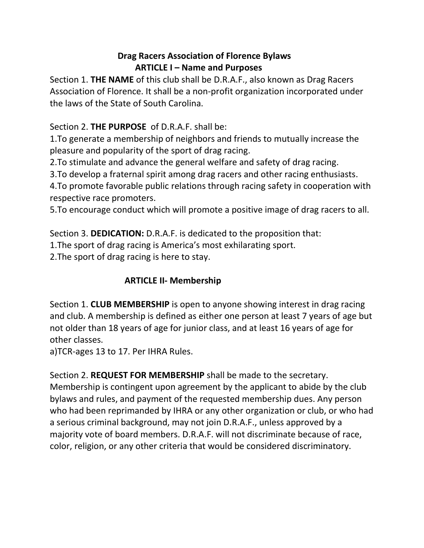## Drag Racers Association of Florence Bylaws ARTICLE I – Name and Purposes

Section 1. THE NAME of this club shall be D.R.A.F., also known as Drag Racers Association of Florence. It shall be a non-profit organization incorporated under the laws of the State of South Carolina.

## Section 2. **THE PURPOSE** of D.R.A.F. shall be:

1.To generate a membership of neighbors and friends to mutually increase the pleasure and popularity of the sport of drag racing.

2.To stimulate and advance the general welfare and safety of drag racing.

3.To develop a fraternal spirit among drag racers and other racing enthusiasts.

4.To promote favorable public relations through racing safety in cooperation with respective race promoters.

5.To encourage conduct which will promote a positive image of drag racers to all.

Section 3. DEDICATION: D.R.A.F. is dedicated to the proposition that:

1.The sport of drag racing is America's most exhilarating sport.

2.The sport of drag racing is here to stay.

# ARTICLE II- Membership

Section 1. CLUB MEMBERSHIP is open to anyone showing interest in drag racing and club. A membership is defined as either one person at least 7 years of age but not older than 18 years of age for junior class, and at least 16 years of age for other classes.

a)TCR-ages 13 to 17. Per IHRA Rules.

Section 2. REQUEST FOR MEMBERSHIP shall be made to the secretary. Membership is contingent upon agreement by the applicant to abide by the club bylaws and rules, and payment of the requested membership dues. Any person who had been reprimanded by IHRA or any other organization or club, or who had a serious criminal background, may not join D.R.A.F., unless approved by a majority vote of board members. D.R.A.F. will not discriminate because of race, color, religion, or any other criteria that would be considered discriminatory.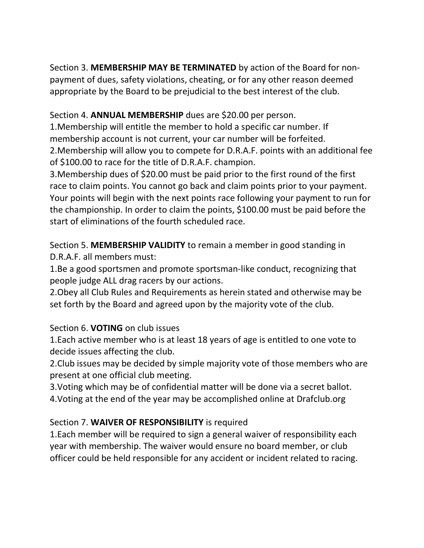Section 3. MEMBERSHIP MAY BE TERMINATED by action of the Board for nonpayment of dues, safety violations, cheating, or for any other reason deemed appropriate by the Board to be prejudicial to the best interest of the club.

## Section 4. **ANNUAL MEMBERSHIP** dues are \$20.00 per person.

1.Membership will entitle the member to hold a specific car number. If membership account is not current, your car number will be forfeited. 2.Membership will allow you to compete for D.R.A.F. points with an additional fee of \$100.00 to race for the title of D.R.A.F. champion.

3.Membership dues of \$20.00 must be paid prior to the first round of the first race to claim points. You cannot go back and claim points prior to your payment. Your points will begin with the next points race following your payment to run for the championship. In order to claim the points, \$100.00 must be paid before the start of eliminations of the fourth scheduled race.

Section 5. MEMBERSHIP VALIDITY to remain a member in good standing in D.R.A.F. all members must:

1.Be a good sportsmen and promote sportsman-like conduct, recognizing that people judge ALL drag racers by our actions.

2.Obey all Club Rules and Requirements as herein stated and otherwise may be set forth by the Board and agreed upon by the majority vote of the club.

### Section 6. **VOTING** on club issues

1.Each active member who is at least 18 years of age is entitled to one vote to decide issues affecting the club.

2.Club issues may be decided by simple majority vote of those members who are present at one official club meeting.

3.Voting which may be of confidential matter will be done via a secret ballot.

4.Voting at the end of the year may be accomplished online at Drafclub.org

### Section 7. WAIVER OF RESPONSIBILITY is required

1.Each member will be required to sign a general waiver of responsibility each year with membership. The waiver would ensure no board member, or club officer could be held responsible for any accident or incident related to racing.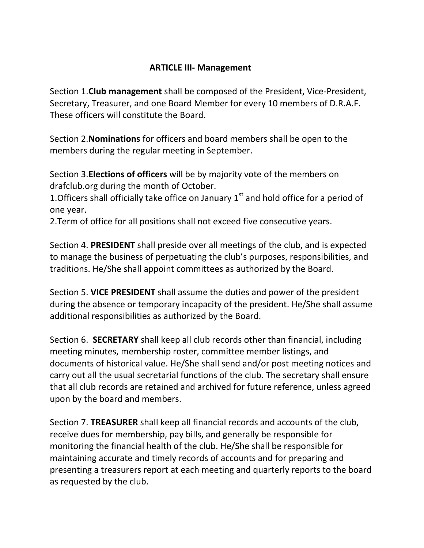### ARTICLE III- Management

Section 1.Club management shall be composed of the President, Vice-President, Secretary, Treasurer, and one Board Member for every 10 members of D.R.A.F. These officers will constitute the Board.

Section 2.Nominations for officers and board members shall be open to the members during the regular meeting in September.

Section 3. Elections of officers will be by majority vote of the members on drafclub.org during the month of October.

1. Officers shall officially take office on January  $1<sup>st</sup>$  and hold office for a period of one year.

2.Term of office for all positions shall not exceed five consecutive years.

Section 4. PRESIDENT shall preside over all meetings of the club, and is expected to manage the business of perpetuating the club's purposes, responsibilities, and traditions. He/She shall appoint committees as authorized by the Board.

Section 5. VICE PRESIDENT shall assume the duties and power of the president during the absence or temporary incapacity of the president. He/She shall assume additional responsibilities as authorized by the Board.

Section 6. SECRETARY shall keep all club records other than financial, including meeting minutes, membership roster, committee member listings, and documents of historical value. He/She shall send and/or post meeting notices and carry out all the usual secretarial functions of the club. The secretary shall ensure that all club records are retained and archived for future reference, unless agreed upon by the board and members.

Section 7. TREASURER shall keep all financial records and accounts of the club, receive dues for membership, pay bills, and generally be responsible for monitoring the financial health of the club. He/She shall be responsible for maintaining accurate and timely records of accounts and for preparing and presenting a treasurers report at each meeting and quarterly reports to the board as requested by the club.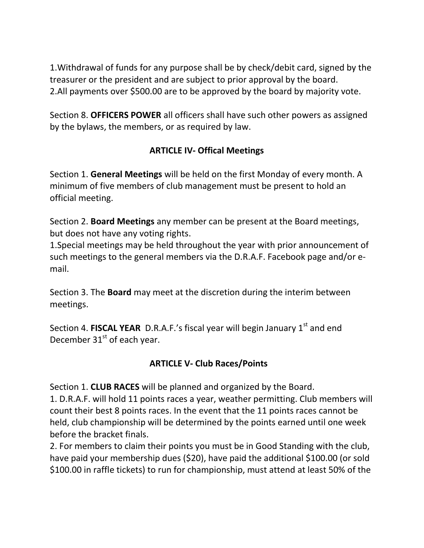1.Withdrawal of funds for any purpose shall be by check/debit card, signed by the treasurer or the president and are subject to prior approval by the board. 2.All payments over \$500.00 are to be approved by the board by majority vote.

Section 8. OFFICERS POWER all officers shall have such other powers as assigned by the bylaws, the members, or as required by law.

### ARTICLE IV- Offical Meetings

Section 1. General Meetings will be held on the first Monday of every month. A minimum of five members of club management must be present to hold an official meeting.

Section 2. Board Meetings any member can be present at the Board meetings, but does not have any voting rights.

1.Special meetings may be held throughout the year with prior announcement of such meetings to the general members via the D.R.A.F. Facebook page and/or email.

Section 3. The Board may meet at the discretion during the interim between meetings.

Section 4. FISCAL YEAR D.R.A.F.'s fiscal year will begin January  $1<sup>st</sup>$  and end December  $31<sup>st</sup>$  of each year.

#### ARTICLE V- Club Races/Points

Section 1. CLUB RACES will be planned and organized by the Board.

1. D.R.A.F. will hold 11 points races a year, weather permitting. Club members will count their best 8 points races. In the event that the 11 points races cannot be held, club championship will be determined by the points earned until one week before the bracket finals.

2. For members to claim their points you must be in Good Standing with the club, have paid your membership dues (\$20), have paid the additional \$100.00 (or sold \$100.00 in raffle tickets) to run for championship, must attend at least 50% of the